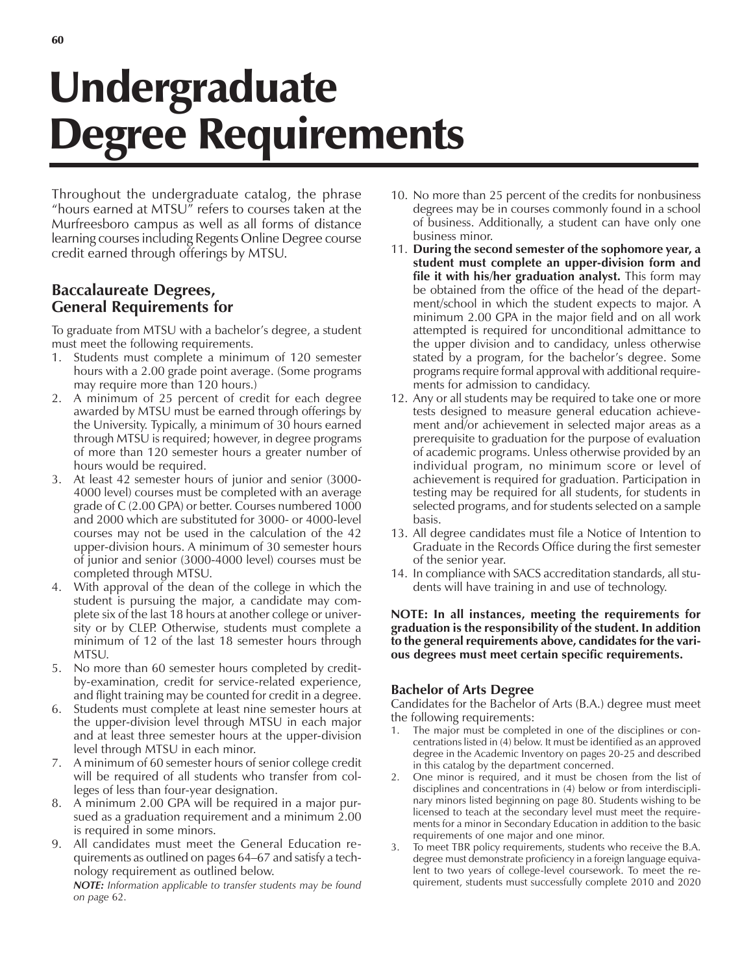# Undergraduate Degree Requirements

Throughout the undergraduate catalog, the phrase "hours earned at MTSU $\bar{v}$  refers to courses taken at the Murfreesboro campus as well as all forms of distance learning courses including Regents Online Degree course credit earned through offerings by MTSU.

# **Baccalaureate Degrees, General Requirements for**

To graduate from MTSU with a bachelor's degree, a student must meet the following requirements.

- 1. Students must complete a minimum of 120 semester hours with a 2.00 grade point average. (Some programs may require more than 120 hours.)
- 2. A minimum of 25 percent of credit for each degree awarded by MTSU must be earned through offerings by the University. Typically, a minimum of 30 hours earned through MTSU is required; however, in degree programs of more than 120 semester hours a greater number of hours would be required.
- 3. At least 42 semester hours of junior and senior (3000- 4000 level) courses must be completed with an average grade of C (2.00 GPA) or better. Courses numbered 1000 and 2000 which are substituted for 3000- or 4000-level courses may not be used in the calculation of the 42 upper-division hours. A minimum of 30 semester hours of junior and senior (3000-4000 level) courses must be completed through MTSU.
- 4. With approval of the dean of the college in which the student is pursuing the major, a candidate may complete six of the last 18 hours at another college or university or by CLEP. Otherwise, students must complete a minimum of 12 of the last 18 semester hours through MTSU.
- 5. No more than 60 semester hours completed by creditby-examination, credit for service-related experience, and flight training may be counted for credit in a degree.
- 6. Students must complete at least nine semester hours at the upper-division level through MTSU in each major and at least three semester hours at the upper-division level through MTSU in each minor.
- 7. A minimum of 60 semester hours of senior college credit will be required of all students who transfer from colleges of less than four-year designation.
- 8. A minimum 2.00 GPA will be required in a major pursued as a graduation requirement and a minimum 2.00 is required in some minors.
- 9. All candidates must meet the General Education requirements as outlined on pages 64–67 and satisfy a technology requirement as outlined below.

*NOTE: Information applicable to transfer students may be found on page* 62.

- 10. No more than 25 percent of the credits for nonbusiness degrees may be in courses commonly found in a school of business. Additionally, a student can have only one business minor.
- 11. **During the second semester of the sophomore year, a student must complete an upper-division form and file it with his/her graduation analyst.** This form may be obtained from the office of the head of the department/school in which the student expects to major. A minimum 2.00 GPA in the major field and on all work attempted is required for unconditional admittance to the upper division and to candidacy, unless otherwise stated by a program, for the bachelor's degree. Some programs require formal approval with additional requirements for admission to candidacy.
- 12. Any or all students may be required to take one or more tests designed to measure general education achievement and/or achievement in selected major areas as a prerequisite to graduation for the purpose of evaluation of academic programs. Unless otherwise provided by an individual program, no minimum score or level of achievement is required for graduation. Participation in testing may be required for all students, for students in selected programs, and for students selected on a sample basis.
- 13. All degree candidates must file a Notice of Intention to Graduate in the Records Office during the first semester of the senior year.
- 14. In compliance with SACS accreditation standards, all students will have training in and use of technology.

#### **NOTE: In all instances, meeting the requirements for graduation is the responsibility of the student. In addition to the general requirements above, candidates for the various degrees must meet certain specific requirements.**

## **Bachelor of Arts Degree**

Candidates for the Bachelor of Arts (B.A.) degree must meet the following requirements:

- 1. The major must be completed in one of the disciplines or concentrations listed in (4) below. It must be identified as an approved degree in the Academic Inventory on pages 20-25 and described in this catalog by the department concerned.
- 2. One minor is required, and it must be chosen from the list of disciplines and concentrations in (4) below or from interdisciplinary minors listed beginning on page 80. Students wishing to be licensed to teach at the secondary level must meet the requirements for a minor in Secondary Education in addition to the basic requirements of one major and one minor.
- To meet TBR policy requirements, students who receive the B.A. degree must demonstrate proficiency in a foreign language equivalent to two years of college-level coursework. To meet the requirement, students must successfully complete 2010 and 2020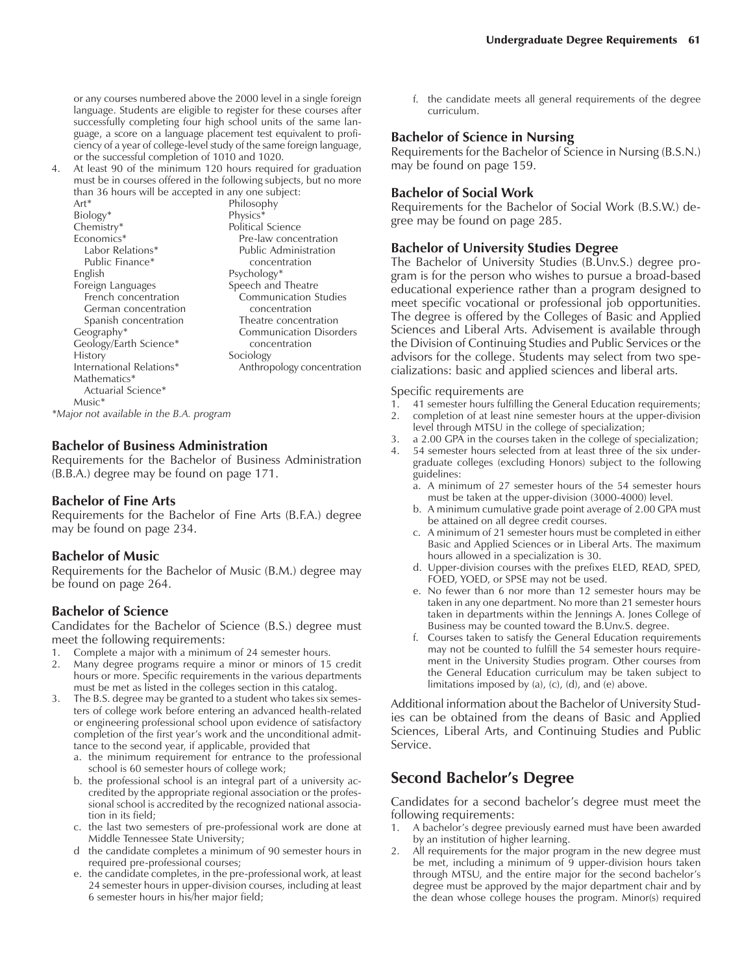or any courses numbered above the 2000 level in a single foreign language. Students are eligible to register for these courses after successfully completing four high school units of the same language, a score on a language placement test equivalent to proficiency of a year of college-level study of the same foreign language, or the successful completion of 1010 and 1020.

4. At least 90 of the minimum 120 hours required for graduation must be in courses offered in the following subjects, but no more than 36 hours will be accepted in any one subject:

Art\* Philosophy Biology\* Physics\*<br>Chemistry\* Political Political Science Economics\* Pre-law concentration<br>
Labor Relations\* Public Administration Public Administration<br>concentration Public Finance\* English Psychology\* Foreign Languages Speech and Theatre French concentration Communication Studies German concentration concentration Spanish concentration Theatre concentration Geography\* Communication Disorders Geology/Earth Science\* concentration History Sociology<br>International Relations\* Anthro Anthropology concentration Mathematics\* Actuarial Science\* Music\*

*\*Major not available in the B.A. program*

#### **Bachelor of Business Administration**

Requirements for the Bachelor of Business Administration (B.B.A.) degree may be found on page 171.

#### **Bachelor of Fine Arts**

Requirements for the Bachelor of Fine Arts (B.F.A.) degree may be found on page 234.

#### **Bachelor of Music**

Requirements for the Bachelor of Music (B.M.) degree may be found on page 264.

#### **Bachelor of Science**

Candidates for the Bachelor of Science (B.S.) degree must meet the following requirements:

- 1. Complete a major with a minimum of 24 semester hours.
- 2. Many degree programs require a minor or minors of 15 credit hours or more. Specific requirements in the various departments must be met as listed in the colleges section in this catalog.
- 3. The B.S. degree may be granted to a student who takes six semesters of college work before entering an advanced health-related or engineering professional school upon evidence of satisfactory completion of the first year's work and the unconditional admittance to the second year, if applicable, provided that
	- a. the minimum requirement for entrance to the professional school is 60 semester hours of college work;
	- b. the professional school is an integral part of a university accredited by the appropriate regional association or the professional school is accredited by the recognized national association in its field;
	- c. the last two semesters of pre-professional work are done at Middle Tennessee State University;
	- d the candidate completes a minimum of 90 semester hours in required pre-professional courses;
	- e. the candidate completes, in the pre-professional work, at least 24 semester hours in upper-division courses, including at least 6 semester hours in his/her major field;

f. the candidate meets all general requirements of the degree curriculum.

#### **Bachelor of Science in Nursing**

Requirements for the Bachelor of Science in Nursing (B.S.N.) may be found on page 159.

#### **Bachelor of Social Work**

Requirements for the Bachelor of Social Work (B.S.W.) degree may be found on page 285.

#### **Bachelor of University Studies Degree**

The Bachelor of University Studies (B.Unv.S.) degree program is for the person who wishes to pursue a broad-based educational experience rather than a program designed to meet specific vocational or professional job opportunities. The degree is offered by the Colleges of Basic and Applied Sciences and Liberal Arts. Advisement is available through the Division of Continuing Studies and Public Services or the advisors for the college. Students may select from two specializations: basic and applied sciences and liberal arts.

#### Specific requirements are

- 1. 41 semester hours fulfilling the General Education requirements;
- 2. completion of at least nine semester hours at the upper-division
- level through MTSU in the college of specialization;
- 3. a 2.00 GPA in the courses taken in the college of specialization; 54 semester hours selected from at least three of the six under-
- graduate colleges (excluding Honors) subject to the following guidelines:
	- a. A minimum of 27 semester hours of the 54 semester hours must be taken at the upper-division (3000-4000) level.
	- b. A minimum cumulative grade point average of 2.00 GPA must be attained on all degree credit courses.
	- c. A minimum of 21 semester hours must be completed in either Basic and Applied Sciences or in Liberal Arts. The maximum hours allowed in a specialization is 30.
	- d. Upper-division courses with the prefixes ELED, READ, SPED, FOED, YOED, or SPSE may not be used.
	- e. No fewer than 6 nor more than 12 semester hours may be taken in any one department. No more than 21 semester hours taken in departments within the Jennings A. Jones College of Business may be counted toward the B.Unv.S. degree.
	- f. Courses taken to satisfy the General Education requirements may not be counted to fulfill the 54 semester hours requirement in the University Studies program. Other courses from the General Education curriculum may be taken subject to limitations imposed by (a), (c), (d), and  $(e)$  above.

Additional information about the Bachelor of University Studies can be obtained from the deans of Basic and Applied Sciences, Liberal Arts, and Continuing Studies and Public Service.

## **Second Bachelorís Degree**

Candidates for a second bachelor's degree must meet the following requirements:

- A bachelor's degree previously earned must have been awarded by an institution of higher learning.
- 2. All requirements for the major program in the new degree must be met, including a minimum of  $\overline{9}$  upper-division hours taken through MTSU, and the entire major for the second bachelor's degree must be approved by the major department chair and by the dean whose college houses the program. Minor(s) required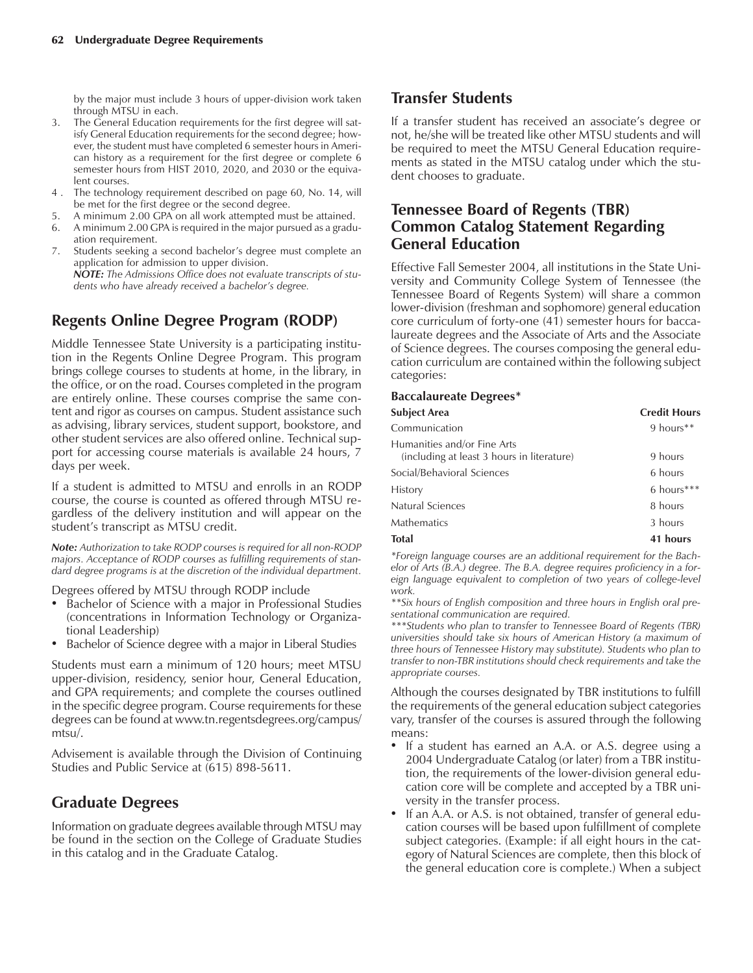by the major must include 3 hours of upper-division work taken through MTSU in each.

- The General Education requirements for the first degree will satisfy General Education requirements for the second degree; however, the student must have completed 6 semester hours in American history as a requirement for the first degree or complete 6 semester hours from HIST 2010, 2020, and 2030 or the equivalent courses.
- 4 . The technology requirement described on page 60, No. 14, will be met for the first degree or the second degree.
- 5. A minimum 2.00 GPA on all work attempted must be attained.
- 6. A minimum 2.00 GPA is required in the major pursued as a graduation requirement.
- 7. Students seeking a second bachelor's degree must complete an application for admission to upper division. *NOTE: The Admissions Office does not evaluate transcripts of students who have already received a bachelorís degree.*

## **Regents Online Degree Program (RODP)**

Middle Tennessee State University is a participating institution in the Regents Online Degree Program. This program brings college courses to students at home, in the library, in the office, or on the road. Courses completed in the program are entirely online. These courses comprise the same content and rigor as courses on campus. Student assistance such as advising, library services, student support, bookstore, and other student services are also offered online. Technical support for accessing course materials is available 24 hours, 7 days per week.

If a student is admitted to MTSU and enrolls in an RODP course, the course is counted as offered through MTSU regardless of the delivery institution and will appear on the student's transcript as MTSU credit.

*Note: Authorization to take RODP courses is required for all non-RODP majors. Acceptance of RODP courses as fulfilling requirements of standard degree programs is at the discretion of the individual department.*

Degrees offered by MTSU through RODP include

- Bachelor of Science with a major in Professional Studies (concentrations in Information Technology or Organizational Leadership)
- Bachelor of Science degree with a major in Liberal Studies

Students must earn a minimum of 120 hours; meet MTSU upper-division, residency, senior hour, General Education, and GPA requirements; and complete the courses outlined in the specific degree program. Course requirements for these degrees can be found at www.tn.regentsdegrees.org/campus/ mtsu/.

Advisement is available through the Division of Continuing Studies and Public Service at (615) 898-5611.

## **Graduate Degrees**

Information on graduate degrees available through MTSU may be found in the section on the College of Graduate Studies in this catalog and in the Graduate Catalog.

## **Transfer Students**

If a transfer student has received an associate's degree or not, he/she will be treated like other MTSU students and will be required to meet the MTSU General Education requirements as stated in the MTSU catalog under which the student chooses to graduate.

## **Tennessee Board of Regents (TBR) Common Catalog Statement Regarding General Education**

Effective Fall Semester 2004, all institutions in the State University and Community College System of Tennessee (the Tennessee Board of Regents System) will share a common lower-division (freshman and sophomore) general education core curriculum of forty-one (41) semester hours for baccalaureate degrees and the Associate of Arts and the Associate of Science degrees. The courses composing the general education curriculum are contained within the following subject categories:

#### **Baccalaureate Degrees\***

| <b>Subject Area</b>                                                       | <b>Credit Hours</b> |
|---------------------------------------------------------------------------|---------------------|
| Communication                                                             | $9$ hours**         |
| Humanities and/or Fine Arts<br>(including at least 3 hours in literature) | 9 hours             |
| Social/Behavioral Sciences                                                | 6 hours             |
| <b>History</b>                                                            | $6$ hours***        |
| Natural Sciences                                                          | 8 hours             |
| <b>Mathematics</b>                                                        | 3 hours             |
| <b>Total</b>                                                              | 41 hours            |

*\*Foreign language courses are an additional requirement for the Bachelor of Arts (B.A.) degree. The B.A. degree requires proficiency in a foreign language equivalent to completion of two years of college-level work.*

*\*\*Six hours of English composition and three hours in English oral presentational communication are required.*

*\*\*\*Students who plan to transfer to Tennessee Board of Regents (TBR) universities should take six hours of American History (a maximum of three hours of Tennessee History may substitute). Students who plan to transfer to non-TBR institutions should check requirements and take the appropriate courses.*

Although the courses designated by TBR institutions to fulfill the requirements of the general education subject categories vary, transfer of the courses is assured through the following means:

- If a student has earned an A.A. or A.S. degree using a 2004 Undergraduate Catalog (or later) from a TBR institution, the requirements of the lower-division general education core will be complete and accepted by a TBR university in the transfer process.
- If an A.A. or A.S. is not obtained, transfer of general education courses will be based upon fulfillment of complete subject categories. (Example: if all eight hours in the category of Natural Sciences are complete, then this block of the general education core is complete.) When a subject